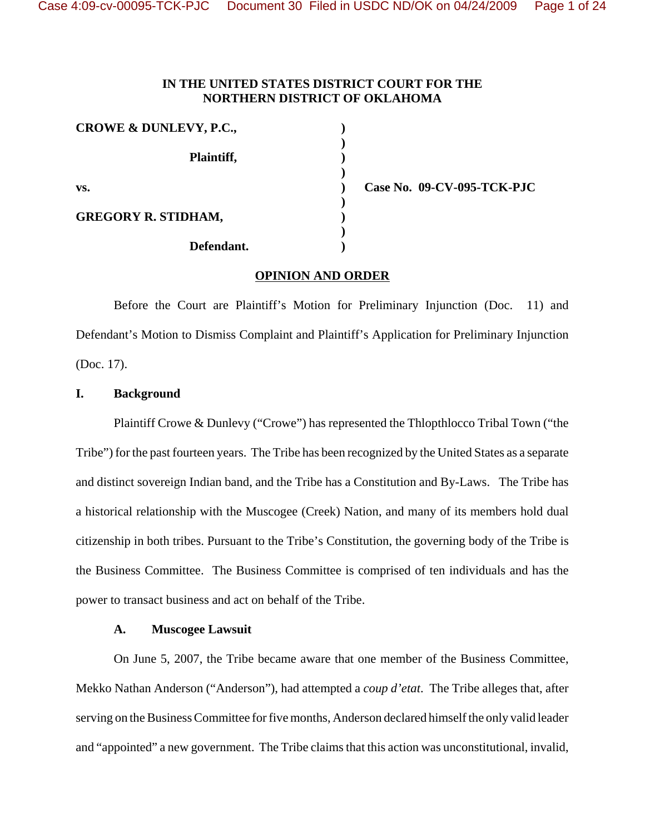# **IN THE UNITED STATES DISTRICT COURT FOR THE NORTHERN DISTRICT OF OKLAHOMA**

| CROWE & DUNLEVY, P.C.,     |  |
|----------------------------|--|
| Plaintiff,                 |  |
| VS.                        |  |
| <b>GREGORY R. STIDHAM,</b> |  |
| Defendant.                 |  |

**vs. ) Case No. 09-CV-095-TCK-PJC**

### **OPINION AND ORDER**

Before the Court are Plaintiff's Motion for Preliminary Injunction (Doc. 11) and Defendant's Motion to Dismiss Complaint and Plaintiff's Application for Preliminary Injunction (Doc. 17).

# **I. Background**

Plaintiff Crowe & Dunlevy ("Crowe") has represented the Thlopthlocco Tribal Town ("the Tribe") for the past fourteen years. The Tribe has been recognized by the United States as a separate and distinct sovereign Indian band, and the Tribe has a Constitution and By-Laws. The Tribe has a historical relationship with the Muscogee (Creek) Nation, and many of its members hold dual citizenship in both tribes. Pursuant to the Tribe's Constitution, the governing body of the Tribe is the Business Committee. The Business Committee is comprised of ten individuals and has the power to transact business and act on behalf of the Tribe.

### **A. Muscogee Lawsuit**

On June 5, 2007, the Tribe became aware that one member of the Business Committee, Mekko Nathan Anderson ("Anderson"), had attempted a *coup d'etat*. The Tribe alleges that, after serving on the Business Committee for five months, Anderson declared himself the only valid leader and "appointed" a new government. The Tribe claims that this action was unconstitutional, invalid,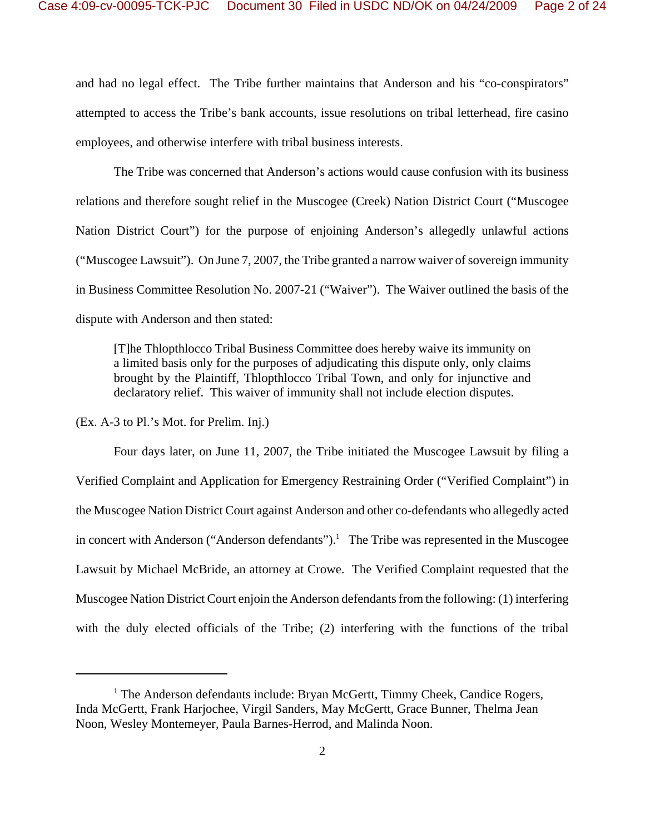and had no legal effect. The Tribe further maintains that Anderson and his "co-conspirators" attempted to access the Tribe's bank accounts, issue resolutions on tribal letterhead, fire casino employees, and otherwise interfere with tribal business interests.

The Tribe was concerned that Anderson's actions would cause confusion with its business relations and therefore sought relief in the Muscogee (Creek) Nation District Court ("Muscogee Nation District Court") for the purpose of enjoining Anderson's allegedly unlawful actions ("Muscogee Lawsuit"). On June 7, 2007, the Tribe granted a narrow waiver of sovereign immunity in Business Committee Resolution No. 2007-21 ("Waiver"). The Waiver outlined the basis of the dispute with Anderson and then stated:

[T]he Thlopthlocco Tribal Business Committee does hereby waive its immunity on a limited basis only for the purposes of adjudicating this dispute only, only claims brought by the Plaintiff, Thlopthlocco Tribal Town, and only for injunctive and declaratory relief. This waiver of immunity shall not include election disputes.

(Ex. A-3 to Pl.'s Mot. for Prelim. Inj.)

Four days later, on June 11, 2007, the Tribe initiated the Muscogee Lawsuit by filing a Verified Complaint and Application for Emergency Restraining Order ("Verified Complaint") in the Muscogee Nation District Court against Anderson and other co-defendants who allegedly acted in concert with Anderson ("Anderson defendants").<sup>1</sup> The Tribe was represented in the Muscogee Lawsuit by Michael McBride, an attorney at Crowe. The Verified Complaint requested that the Muscogee Nation District Court enjoin the Anderson defendants from the following: (1) interfering with the duly elected officials of the Tribe; (2) interfering with the functions of the tribal

<sup>&</sup>lt;sup>1</sup> The Anderson defendants include: Bryan McGertt, Timmy Cheek, Candice Rogers, Inda McGertt, Frank Harjochee, Virgil Sanders, May McGertt, Grace Bunner, Thelma Jean Noon, Wesley Montemeyer, Paula Barnes-Herrod, and Malinda Noon.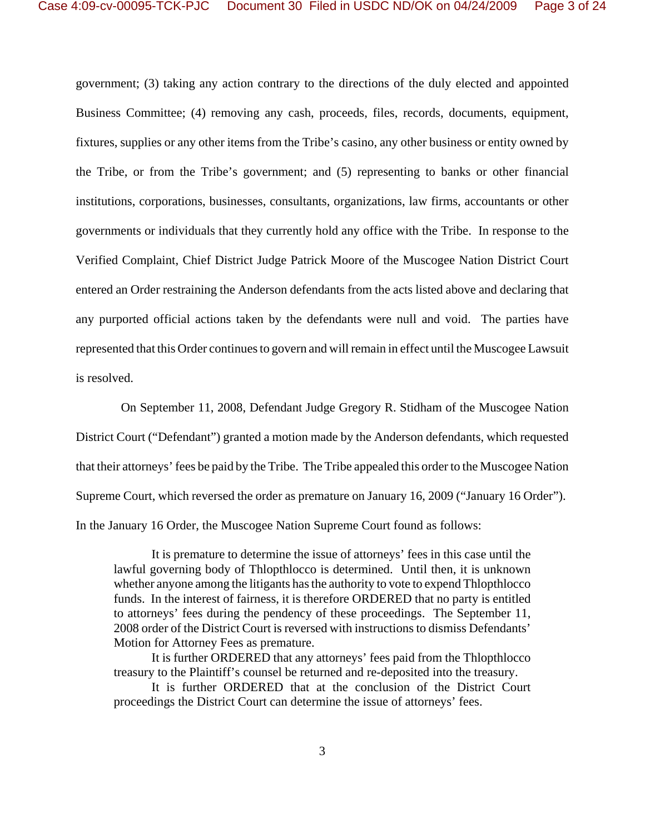government; (3) taking any action contrary to the directions of the duly elected and appointed Business Committee; (4) removing any cash, proceeds, files, records, documents, equipment, fixtures, supplies or any other items from the Tribe's casino, any other business or entity owned by the Tribe, or from the Tribe's government; and (5) representing to banks or other financial institutions, corporations, businesses, consultants, organizations, law firms, accountants or other governments or individuals that they currently hold any office with the Tribe. In response to the Verified Complaint, Chief District Judge Patrick Moore of the Muscogee Nation District Court entered an Order restraining the Anderson defendants from the acts listed above and declaring that any purported official actions taken by the defendants were null and void. The parties have represented that this Order continues to govern and will remain in effect until the Muscogee Lawsuit is resolved.

 On September 11, 2008, Defendant Judge Gregory R. Stidham of the Muscogee Nation District Court ("Defendant") granted a motion made by the Anderson defendants, which requested that their attorneys' fees be paid by the Tribe. The Tribe appealed this order to the Muscogee Nation Supreme Court, which reversed the order as premature on January 16, 2009 ("January 16 Order"). In the January 16 Order, the Muscogee Nation Supreme Court found as follows:

It is premature to determine the issue of attorneys' fees in this case until the lawful governing body of Thlopthlocco is determined. Until then, it is unknown whether anyone among the litigants has the authority to vote to expend Thlopthlocco funds. In the interest of fairness, it is therefore ORDERED that no party is entitled to attorneys' fees during the pendency of these proceedings. The September 11, 2008 order of the District Court is reversed with instructions to dismiss Defendants' Motion for Attorney Fees as premature.

It is further ORDERED that any attorneys' fees paid from the Thlopthlocco treasury to the Plaintiff's counsel be returned and re-deposited into the treasury.

It is further ORDERED that at the conclusion of the District Court proceedings the District Court can determine the issue of attorneys' fees.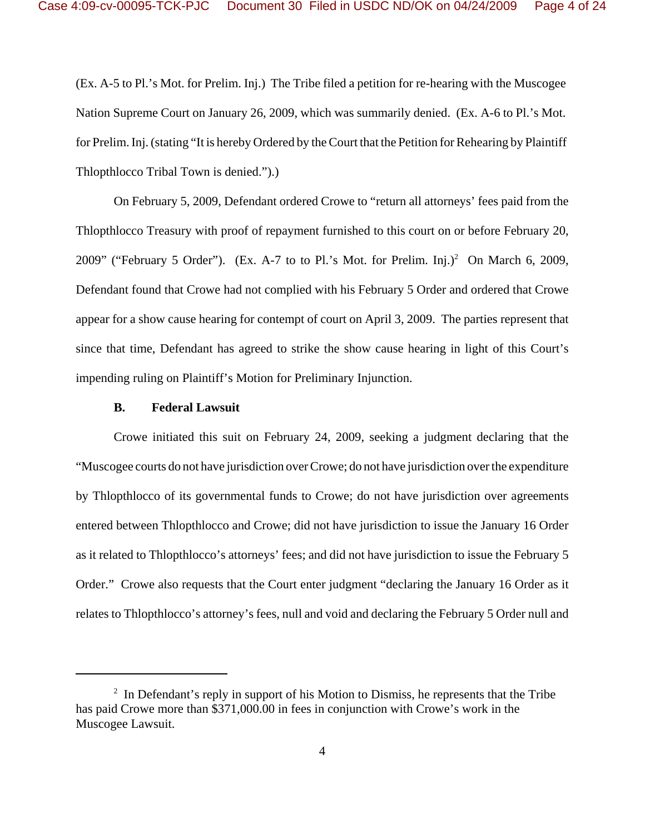(Ex. A-5 to Pl.'s Mot. for Prelim. Inj.) The Tribe filed a petition for re-hearing with the Muscogee Nation Supreme Court on January 26, 2009, which was summarily denied. (Ex. A-6 to Pl.'s Mot. for Prelim. Inj. (stating "It is hereby Ordered by the Court that the Petition for Rehearing by Plaintiff Thlopthlocco Tribal Town is denied.").)

On February 5, 2009, Defendant ordered Crowe to "return all attorneys' fees paid from the Thlopthlocco Treasury with proof of repayment furnished to this court on or before February 20, 2009" ("February 5 Order"). (Ex. A-7 to to Pl.'s Mot. for Prelim. Inj.)<sup>2</sup> On March 6, 2009, Defendant found that Crowe had not complied with his February 5 Order and ordered that Crowe appear for a show cause hearing for contempt of court on April 3, 2009. The parties represent that since that time, Defendant has agreed to strike the show cause hearing in light of this Court's impending ruling on Plaintiff's Motion for Preliminary Injunction.

## **B. Federal Lawsuit**

Crowe initiated this suit on February 24, 2009, seeking a judgment declaring that the "Muscogee courts do not have jurisdiction over Crowe; do not have jurisdiction over the expenditure by Thlopthlocco of its governmental funds to Crowe; do not have jurisdiction over agreements entered between Thlopthlocco and Crowe; did not have jurisdiction to issue the January 16 Order as it related to Thlopthlocco's attorneys' fees; and did not have jurisdiction to issue the February 5 Order." Crowe also requests that the Court enter judgment "declaring the January 16 Order as it relates to Thlopthlocco's attorney's fees, null and void and declaring the February 5 Order null and

 $2\;\;$  In Defendant's reply in support of his Motion to Dismiss, he represents that the Tribe has paid Crowe more than \$371,000.00 in fees in conjunction with Crowe's work in the Muscogee Lawsuit.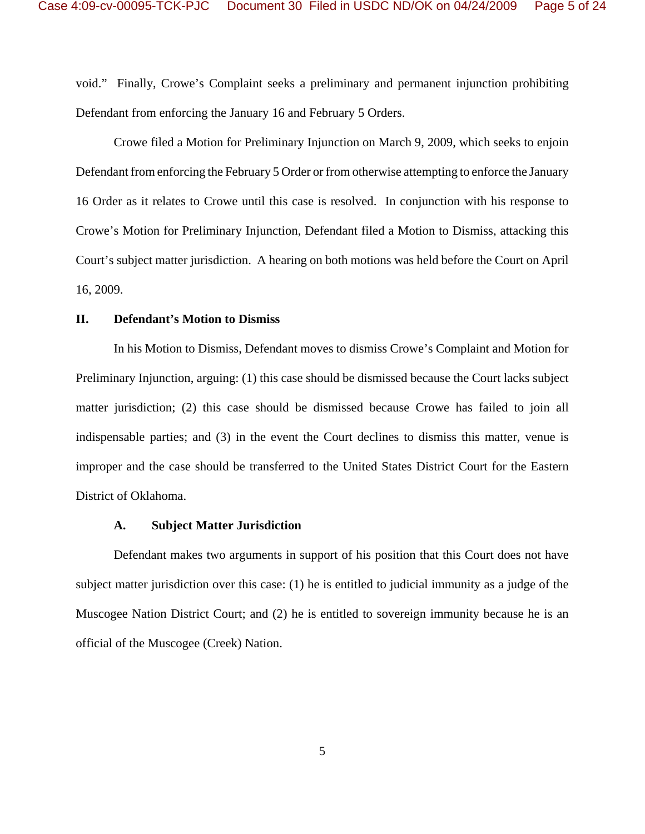void." Finally, Crowe's Complaint seeks a preliminary and permanent injunction prohibiting Defendant from enforcing the January 16 and February 5 Orders.

Crowe filed a Motion for Preliminary Injunction on March 9, 2009, which seeks to enjoin Defendant from enforcing the February 5 Order or from otherwise attempting to enforce the January 16 Order as it relates to Crowe until this case is resolved. In conjunction with his response to Crowe's Motion for Preliminary Injunction, Defendant filed a Motion to Dismiss, attacking this Court's subject matter jurisdiction. A hearing on both motions was held before the Court on April 16, 2009.

## **II. Defendant's Motion to Dismiss**

In his Motion to Dismiss, Defendant moves to dismiss Crowe's Complaint and Motion for Preliminary Injunction, arguing: (1) this case should be dismissed because the Court lacks subject matter jurisdiction; (2) this case should be dismissed because Crowe has failed to join all indispensable parties; and (3) in the event the Court declines to dismiss this matter, venue is improper and the case should be transferred to the United States District Court for the Eastern District of Oklahoma.

#### **A. Subject Matter Jurisdiction**

Defendant makes two arguments in support of his position that this Court does not have subject matter jurisdiction over this case: (1) he is entitled to judicial immunity as a judge of the Muscogee Nation District Court; and (2) he is entitled to sovereign immunity because he is an official of the Muscogee (Creek) Nation.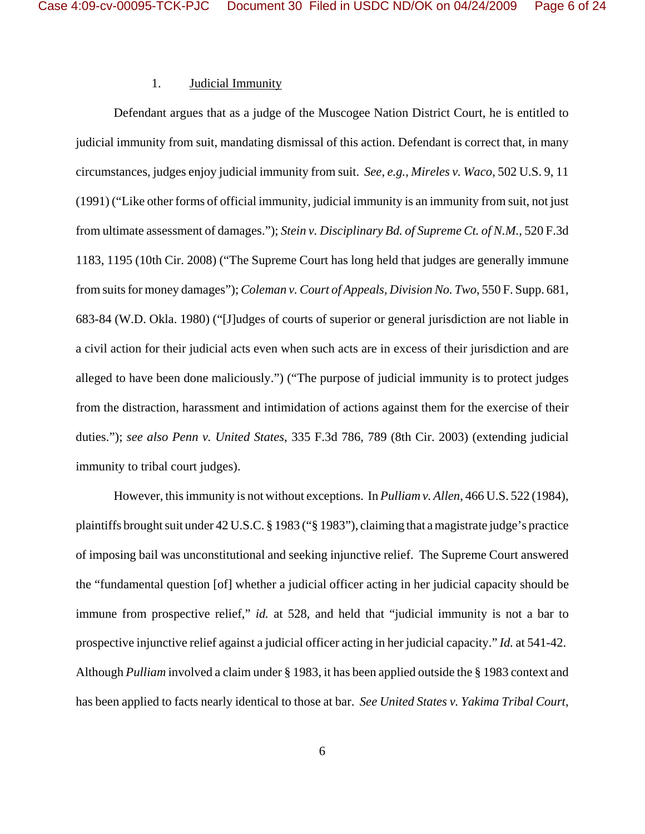### 1. Judicial Immunity

Defendant argues that as a judge of the Muscogee Nation District Court, he is entitled to judicial immunity from suit, mandating dismissal of this action. Defendant is correct that, in many circumstances, judges enjoy judicial immunity from suit. *See, e.g., Mireles v. Waco*, 502 U.S. 9, 11 (1991) ("Like other forms of official immunity, judicial immunity is an immunity from suit, not just from ultimate assessment of damages."); *Stein v. Disciplinary Bd. of Supreme Ct. of N.M.*, 520 F.3d 1183, 1195 (10th Cir. 2008) ("The Supreme Court has long held that judges are generally immune from suits for money damages"); *Coleman v. Court of Appeals, Division No. Two*, 550 F. Supp. 681, 683-84 (W.D. Okla. 1980) ("[J]udges of courts of superior or general jurisdiction are not liable in a civil action for their judicial acts even when such acts are in excess of their jurisdiction and are alleged to have been done maliciously.") ("The purpose of judicial immunity is to protect judges from the distraction, harassment and intimidation of actions against them for the exercise of their duties."); *see also Penn v. United States*, 335 F.3d 786, 789 (8th Cir. 2003) (extending judicial immunity to tribal court judges).

However, this immunity is not without exceptions. In *Pulliam v. Allen*, 466 U.S. 522 (1984), plaintiffs brought suit under 42 U.S.C. § 1983 ("§ 1983"), claiming that a magistrate judge's practice of imposing bail was unconstitutional and seeking injunctive relief. The Supreme Court answered the "fundamental question [of] whether a judicial officer acting in her judicial capacity should be immune from prospective relief," *id.* at 528, and held that "judicial immunity is not a bar to prospective injunctive relief against a judicial officer acting in her judicial capacity." *Id.* at 541-42. Although *Pulliam* involved a claim under § 1983, it has been applied outside the § 1983 context and has been applied to facts nearly identical to those at bar. *See United States v. Yakima Tribal Court*,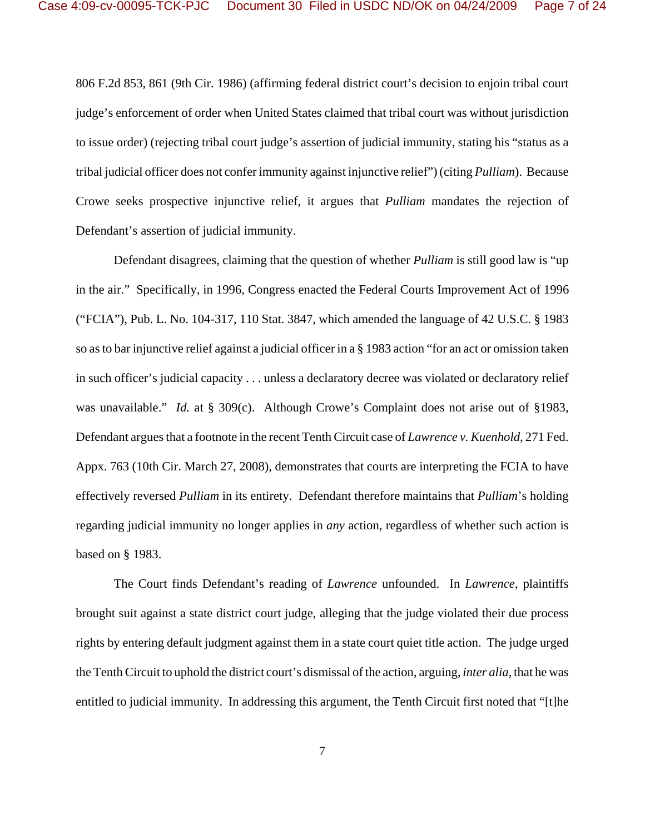806 F.2d 853, 861 (9th Cir. 1986) (affirming federal district court's decision to enjoin tribal court judge's enforcement of order when United States claimed that tribal court was without jurisdiction to issue order) (rejecting tribal court judge's assertion of judicial immunity, stating his "status as a tribal judicial officer does not confer immunity against injunctive relief")(citing *Pulliam*). Because Crowe seeks prospective injunctive relief, it argues that *Pulliam* mandates the rejection of Defendant's assertion of judicial immunity.

Defendant disagrees, claiming that the question of whether *Pulliam* is still good law is "up in the air." Specifically, in 1996, Congress enacted the Federal Courts Improvement Act of 1996 ("FCIA"), Pub. L. No. 104-317, 110 Stat. 3847, which amended the language of 42 U.S.C. § 1983 so as to bar injunctive relief against a judicial officer in a § 1983 action "for an act or omission taken in such officer's judicial capacity . . . unless a declaratory decree was violated or declaratory relief was unavailable." *Id.* at § 309(c). Although Crowe's Complaint does not arise out of §1983, Defendant argues that a footnote in the recent Tenth Circuit case of *Lawrence v. Kuenhold*, 271 Fed. Appx. 763 (10th Cir. March 27, 2008), demonstrates that courts are interpreting the FCIA to have effectively reversed *Pulliam* in its entirety. Defendant therefore maintains that *Pulliam*'s holding regarding judicial immunity no longer applies in *any* action, regardless of whether such action is based on § 1983.

The Court finds Defendant's reading of *Lawrence* unfounded. In *Lawrence*, plaintiffs brought suit against a state district court judge, alleging that the judge violated their due process rights by entering default judgment against them in a state court quiet title action. The judge urged the Tenth Circuit to uphold the district court's dismissal of the action, arguing, *inter alia*, that he was entitled to judicial immunity. In addressing this argument, the Tenth Circuit first noted that "[t]he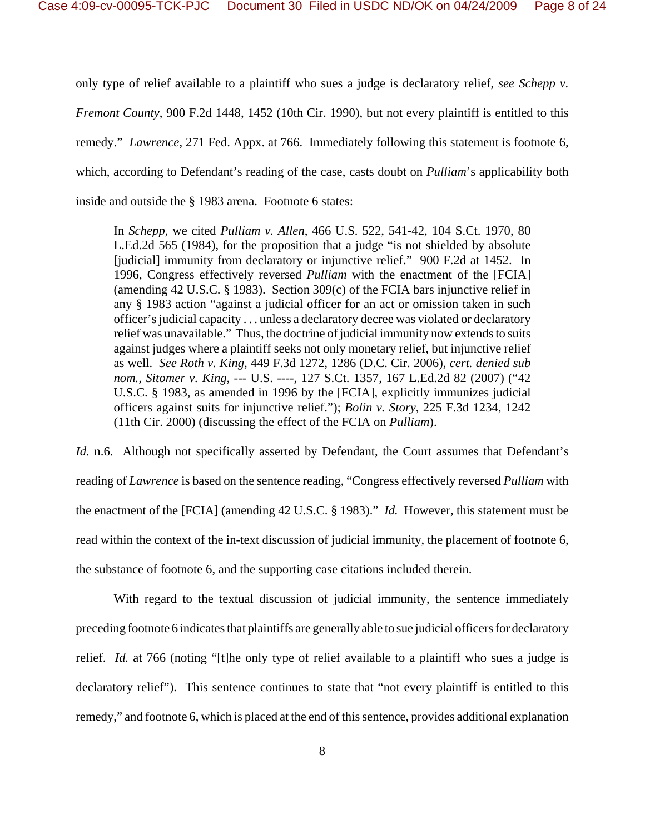only type of relief available to a plaintiff who sues a judge is declaratory relief, *see Schepp v. Fremont County*, 900 F.2d 1448, 1452 (10th Cir. 1990), but not every plaintiff is entitled to this remedy." *Lawrence*, 271 Fed. Appx. at 766. Immediately following this statement is footnote 6, which, according to Defendant's reading of the case, casts doubt on *Pulliam*'s applicability both inside and outside the § 1983 arena. Footnote 6 states:

In *Schepp*, we cited *Pulliam v. Allen*, 466 U.S. 522, 541-42, 104 S.Ct. 1970, 80 L.Ed.2d 565 (1984), for the proposition that a judge "is not shielded by absolute [judicial] immunity from declaratory or injunctive relief." 900 F.2d at 1452. In 1996, Congress effectively reversed *Pulliam* with the enactment of the [FCIA] (amending 42 U.S.C. § 1983). Section 309(c) of the FCIA bars injunctive relief in any § 1983 action "against a judicial officer for an act or omission taken in such officer's judicial capacity . . . unless a declaratory decree was violated or declaratory relief was unavailable." Thus, the doctrine of judicial immunity now extends to suits against judges where a plaintiff seeks not only monetary relief, but injunctive relief as well. *See Roth v. King*, 449 F.3d 1272, 1286 (D.C. Cir. 2006), *cert. denied sub nom., Sitomer v. King*, --- U.S. ----, 127 S.Ct. 1357, 167 L.Ed.2d 82 (2007) ("42 U.S.C. § 1983, as amended in 1996 by the [FCIA], explicitly immunizes judicial officers against suits for injunctive relief."); *Bolin v. Story*, 225 F.3d 1234, 1242 (11th Cir. 2000) (discussing the effect of the FCIA on *Pulliam*).

*Id.* n.6. Although not specifically asserted by Defendant, the Court assumes that Defendant's reading of *Lawrence* is based on the sentence reading, "Congress effectively reversed *Pulliam* with the enactment of the [FCIA] (amending 42 U.S.C. § 1983)." *Id.* However, this statement must be read within the context of the in-text discussion of judicial immunity, the placement of footnote 6, the substance of footnote 6, and the supporting case citations included therein.

With regard to the textual discussion of judicial immunity, the sentence immediately preceding footnote 6 indicates that plaintiffs are generally able to sue judicial officers for declaratory relief. *Id.* at 766 (noting "[t]he only type of relief available to a plaintiff who sues a judge is declaratory relief"). This sentence continues to state that "not every plaintiff is entitled to this remedy," and footnote 6, which is placed at the end of this sentence, provides additional explanation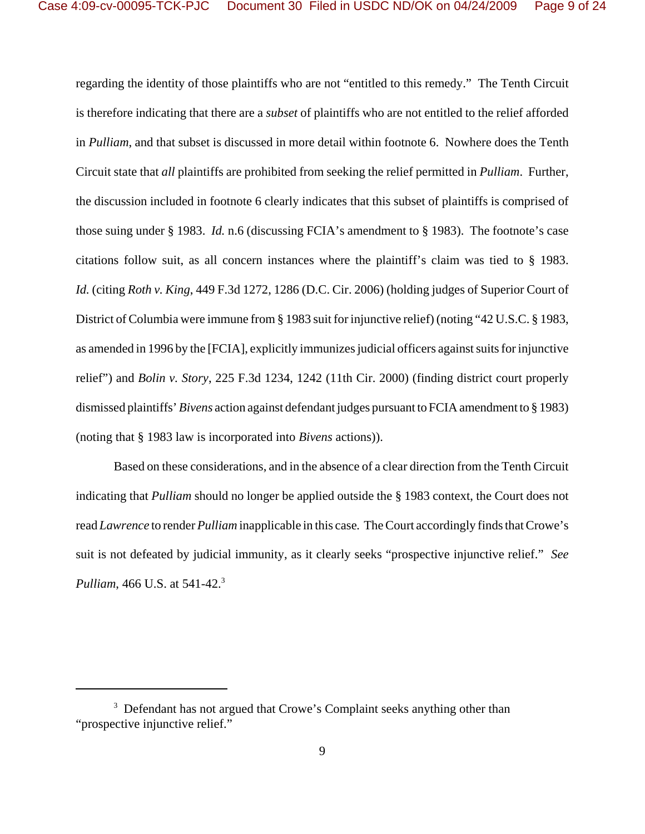regarding the identity of those plaintiffs who are not "entitled to this remedy." The Tenth Circuit is therefore indicating that there are a *subset* of plaintiffs who are not entitled to the relief afforded in *Pulliam*, and that subset is discussed in more detail within footnote 6. Nowhere does the Tenth Circuit state that *all* plaintiffs are prohibited from seeking the relief permitted in *Pulliam*. Further, the discussion included in footnote 6 clearly indicates that this subset of plaintiffs is comprised of those suing under § 1983. *Id.* n.6 (discussing FCIA's amendment to § 1983). The footnote's case citations follow suit, as all concern instances where the plaintiff's claim was tied to § 1983. *Id.* (citing *Roth v. King*, 449 F.3d 1272, 1286 (D.C. Cir. 2006) (holding judges of Superior Court of District of Columbia were immune from § 1983 suit for injunctive relief) (noting "42 U.S.C. § 1983, as amended in 1996 by the [FCIA], explicitly immunizes judicial officers against suits for injunctive relief") and *Bolin v. Story*, 225 F.3d 1234, 1242 (11th Cir. 2000) (finding district court properly dismissed plaintiffs' *Bivens* action against defendant judges pursuant to FCIA amendment to § 1983) (noting that § 1983 law is incorporated into *Bivens* actions)).

Based on these considerations, and in the absence of a clear direction from the Tenth Circuit indicating that *Pulliam* should no longer be applied outside the § 1983 context, the Court does not read *Lawrence* to render *Pulliam* inapplicable in this case*.* The Court accordingly finds that Crowe's suit is not defeated by judicial immunity, as it clearly seeks "prospective injunctive relief." *See Pulliam*, 466 U.S. at 541-42.<sup>3</sup>

<sup>&</sup>lt;sup>3</sup> Defendant has not argued that Crowe's Complaint seeks anything other than "prospective injunctive relief."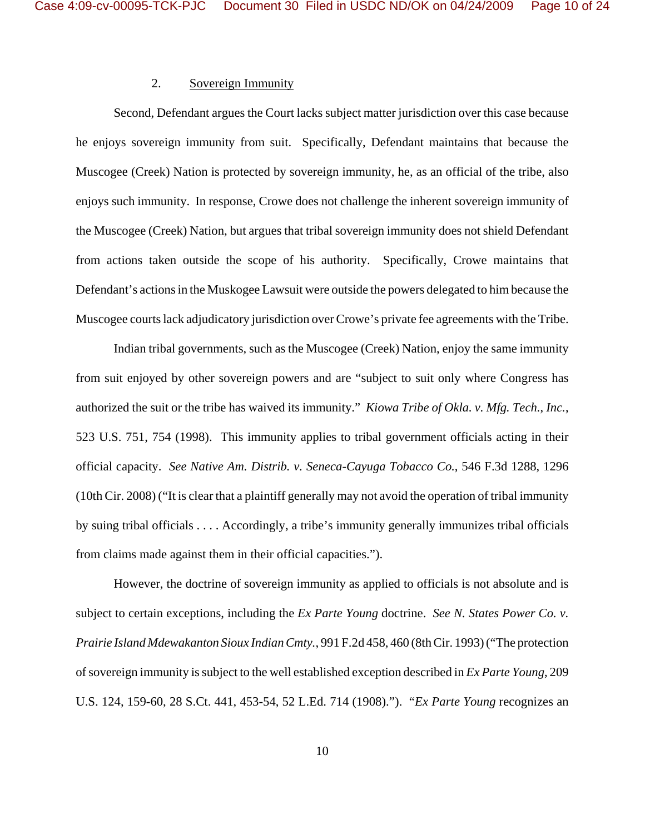# 2. Sovereign Immunity

Second, Defendant argues the Court lacks subject matter jurisdiction over this case because he enjoys sovereign immunity from suit. Specifically, Defendant maintains that because the Muscogee (Creek) Nation is protected by sovereign immunity, he, as an official of the tribe, also enjoys such immunity. In response, Crowe does not challenge the inherent sovereign immunity of the Muscogee (Creek) Nation, but argues that tribal sovereign immunity does not shield Defendant from actions taken outside the scope of his authority. Specifically, Crowe maintains that Defendant's actions in the Muskogee Lawsuit were outside the powers delegated to him because the Muscogee courts lack adjudicatory jurisdiction over Crowe's private fee agreements with the Tribe.

Indian tribal governments, such as the Muscogee (Creek) Nation, enjoy the same immunity from suit enjoyed by other sovereign powers and are "subject to suit only where Congress has authorized the suit or the tribe has waived its immunity." *Kiowa Tribe of Okla. v. Mfg. Tech.*, *Inc.*, 523 U.S. 751, 754 (1998). This immunity applies to tribal government officials acting in their official capacity. *See Native Am. Distrib. v. Seneca-Cayuga Tobacco Co.*, 546 F.3d 1288, 1296 (10th Cir. 2008) ("It is clear that a plaintiff generally may not avoid the operation of tribal immunity by suing tribal officials . . . . Accordingly, a tribe's immunity generally immunizes tribal officials from claims made against them in their official capacities.").

However, the doctrine of sovereign immunity as applied to officials is not absolute and is subject to certain exceptions, including the *Ex Parte Young* doctrine. *See N. States Power Co. v. Prairie Island Mdewakanton Sioux Indian Cmty.*, 991 F.2d 458, 460 (8th Cir. 1993) ("The protection of sovereign immunity is subject to the well established exception described in *Ex Parte Young*, 209 U.S. 124, 159-60, 28 S.Ct. 441, 453-54, 52 L.Ed. 714 (1908)."). "*Ex Parte Young* recognizes an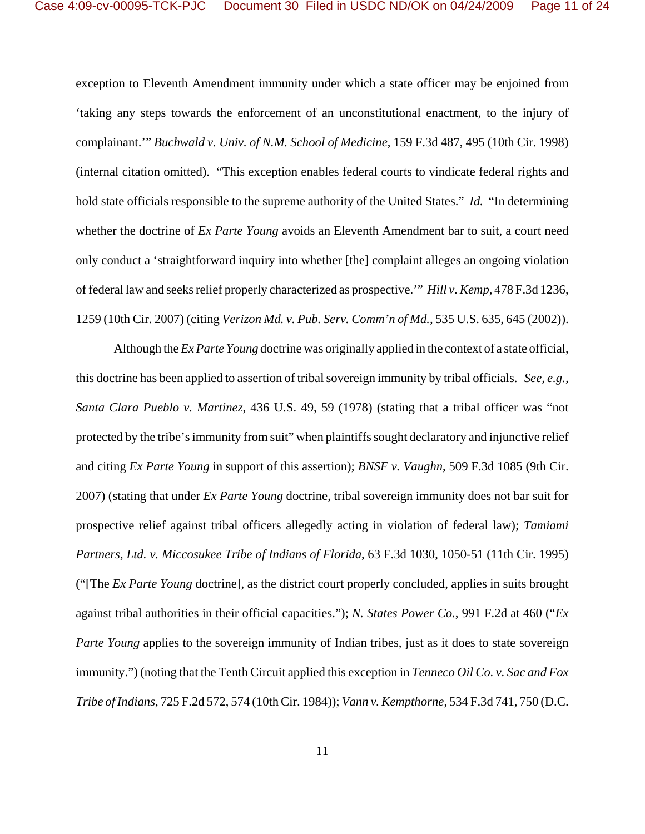exception to Eleventh Amendment immunity under which a state officer may be enjoined from 'taking any steps towards the enforcement of an unconstitutional enactment, to the injury of complainant.'" *Buchwald v. Univ. of N.M. School of Medicine*, 159 F.3d 487, 495 (10th Cir. 1998) (internal citation omitted). "This exception enables federal courts to vindicate federal rights and hold state officials responsible to the supreme authority of the United States." *Id.* "In determining whether the doctrine of *Ex Parte Young* avoids an Eleventh Amendment bar to suit, a court need only conduct a 'straightforward inquiry into whether [the] complaint alleges an ongoing violation of federal law and seeks relief properly characterized as prospective.'" *Hill v. Kemp*, 478 F.3d 1236, 1259 (10th Cir. 2007) (citing *Verizon Md. v. Pub. Serv. Comm'n of Md.*, 535 U.S. 635, 645 (2002)).

Although the *Ex Parte Young* doctrine was originally applied in the context of a state official, this doctrine has been applied to assertion of tribal sovereign immunity by tribal officials. *See, e.g., Santa Clara Pueblo v. Martinez*, 436 U.S. 49, 59 (1978) (stating that a tribal officer was "not protected by the tribe's immunity from suit" when plaintiffs sought declaratory and injunctive relief and citing *Ex Parte Young* in support of this assertion); *BNSF v. Vaughn*, 509 F.3d 1085 (9th Cir. 2007) (stating that under *Ex Parte Young* doctrine, tribal sovereign immunity does not bar suit for prospective relief against tribal officers allegedly acting in violation of federal law); *Tamiami Partners, Ltd. v. Miccosukee Tribe of Indians of Florida*, 63 F.3d 1030, 1050-51 (11th Cir. 1995) ("[The *Ex Parte Young* doctrine], as the district court properly concluded, applies in suits brought against tribal authorities in their official capacities."); *N. States Power Co.*, 991 F.2d at 460 ("*Ex Parte Young* applies to the sovereign immunity of Indian tribes, just as it does to state sovereign immunity.") (noting that the Tenth Circuit applied this exception in *Tenneco Oil Co. v. Sac and Fox Tribe of Indians*, 725 F.2d 572, 574 (10th Cir. 1984)); *Vann v. Kempthorne*, 534 F.3d 741, 750 (D.C.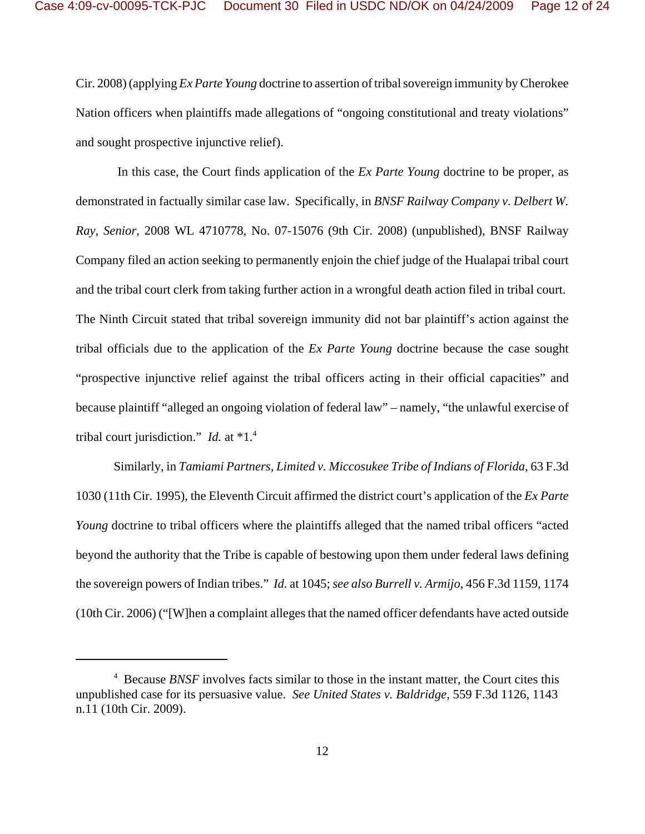Cir. 2008) (applying *Ex Parte Young* doctrine to assertion of tribal sovereign immunity by Cherokee Nation officers when plaintiffs made allegations of "ongoing constitutional and treaty violations" and sought prospective injunctive relief).

 In this case, the Court finds application of the *Ex Parte Young* doctrine to be proper, as demonstrated in factually similar case law. Specifically, in *BNSF Railway Company v. Delbert W. Ray, Senior*, 2008 WL 4710778, No. 07-15076 (9th Cir. 2008) (unpublished), BNSF Railway Company filed an action seeking to permanently enjoin the chief judge of the Hualapai tribal court and the tribal court clerk from taking further action in a wrongful death action filed in tribal court. The Ninth Circuit stated that tribal sovereign immunity did not bar plaintiff's action against the tribal officials due to the application of the *Ex Parte Young* doctrine because the case sought "prospective injunctive relief against the tribal officers acting in their official capacities" and because plaintiff "alleged an ongoing violation of federal law" – namely, "the unlawful exercise of tribal court jurisdiction." *Id.* at \*1.4

Similarly, in *Tamiami Partners, Limited v. Miccosukee Tribe of Indians of Florida*, 63 F.3d 1030 (11th Cir. 1995), the Eleventh Circuit affirmed the district court's application of the *Ex Parte Young* doctrine to tribal officers where the plaintiffs alleged that the named tribal officers "acted" beyond the authority that the Tribe is capable of bestowing upon them under federal laws defining the sovereign powers of Indian tribes." *Id.* at 1045; *see also Burrell v. Armijo*, 456 F.3d 1159, 1174 (10th Cir. 2006) ("[W]hen a complaint alleges that the named officer defendants have acted outside

<sup>&</sup>lt;sup>4</sup> Because *BNSF* involves facts similar to those in the instant matter, the Court cites this unpublished case for its persuasive value. *See United States v. Baldridge*, 559 F.3d 1126, 1143 n.11 (10th Cir. 2009).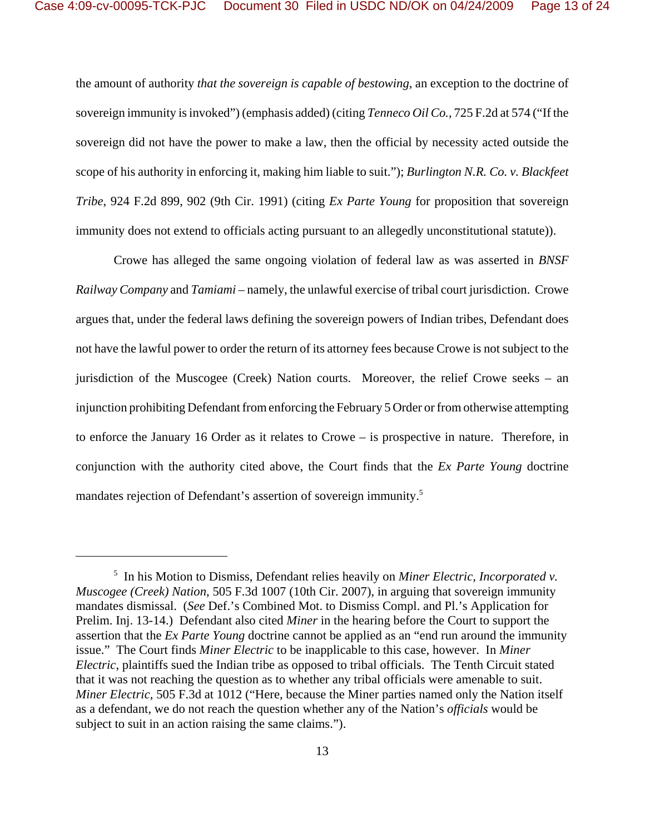the amount of authority *that the sovereign is capable of bestowing*, an exception to the doctrine of sovereign immunity is invoked") (emphasis added) (citing *Tenneco Oil Co.*, 725 F.2d at 574 ("If the sovereign did not have the power to make a law, then the official by necessity acted outside the scope of his authority in enforcing it, making him liable to suit."); *Burlington N.R. Co. v. Blackfeet Tribe*, 924 F.2d 899, 902 (9th Cir. 1991) (citing *Ex Parte Young* for proposition that sovereign immunity does not extend to officials acting pursuant to an allegedly unconstitutional statute)).

Crowe has alleged the same ongoing violation of federal law as was asserted in *BNSF Railway Company* and *Tamiami* – namely, the unlawful exercise of tribal court jurisdiction. Crowe argues that, under the federal laws defining the sovereign powers of Indian tribes, Defendant does not have the lawful power to order the return of its attorney fees because Crowe is not subject to the jurisdiction of the Muscogee (Creek) Nation courts. Moreover, the relief Crowe seeks – an injunction prohibiting Defendant fromenforcing the February 5 Order or fromotherwise attempting to enforce the January 16 Order as it relates to Crowe – is prospective in nature. Therefore, in conjunction with the authority cited above, the Court finds that the *Ex Parte Young* doctrine mandates rejection of Defendant's assertion of sovereign immunity.5

<sup>5</sup> In his Motion to Dismiss, Defendant relies heavily on *Miner Electric, Incorporated v. Muscogee (Creek) Nation*, 505 F.3d 1007 (10th Cir. 2007), in arguing that sovereign immunity mandates dismissal. (*See* Def.'s Combined Mot. to Dismiss Compl. and Pl.'s Application for Prelim. Inj. 13-14.) Defendant also cited *Miner* in the hearing before the Court to support the assertion that the *Ex Parte Young* doctrine cannot be applied as an "end run around the immunity issue." The Court finds *Miner Electric* to be inapplicable to this case, however. In *Miner Electric*, plaintiffs sued the Indian tribe as opposed to tribal officials. The Tenth Circuit stated that it was not reaching the question as to whether any tribal officials were amenable to suit. *Miner Electric*, 505 F.3d at 1012 ("Here, because the Miner parties named only the Nation itself as a defendant, we do not reach the question whether any of the Nation's *officials* would be subject to suit in an action raising the same claims.").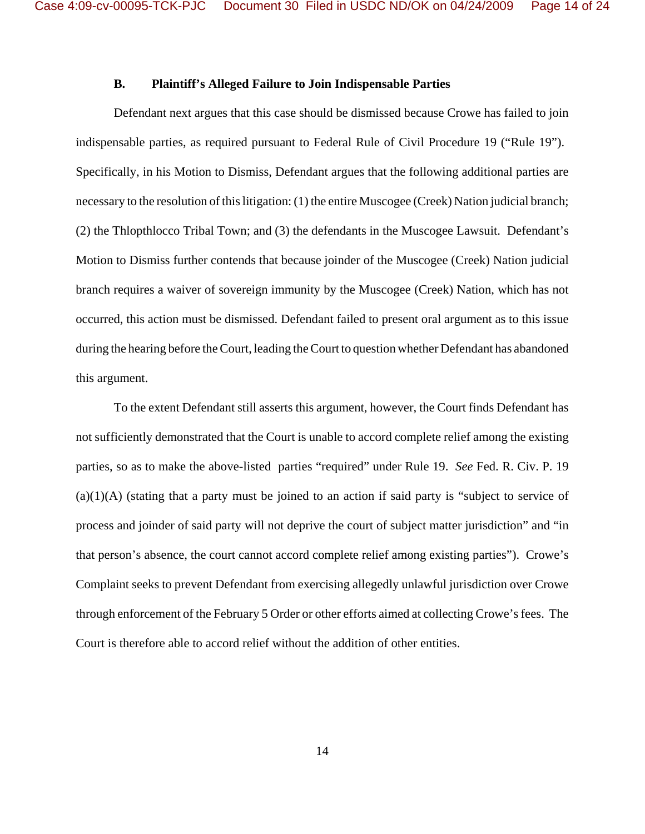### **B. Plaintiff's Alleged Failure to Join Indispensable Parties**

Defendant next argues that this case should be dismissed because Crowe has failed to join indispensable parties, as required pursuant to Federal Rule of Civil Procedure 19 ("Rule 19"). Specifically, in his Motion to Dismiss, Defendant argues that the following additional parties are necessary to the resolution of this litigation: (1) the entire Muscogee (Creek) Nation judicial branch; (2) the Thlopthlocco Tribal Town; and (3) the defendants in the Muscogee Lawsuit. Defendant's Motion to Dismiss further contends that because joinder of the Muscogee (Creek) Nation judicial branch requires a waiver of sovereign immunity by the Muscogee (Creek) Nation, which has not occurred, this action must be dismissed. Defendant failed to present oral argument as to this issue during the hearing before theCourt, leading theCourt to question whether Defendant has abandoned this argument.

To the extent Defendant still asserts this argument, however, the Court finds Defendant has not sufficiently demonstrated that the Court is unable to accord complete relief among the existing parties, so as to make the above-listed parties "required" under Rule 19. *See* Fed. R. Civ. P. 19  $(a)(1)(A)$  (stating that a party must be joined to an action if said party is "subject to service of process and joinder of said party will not deprive the court of subject matter jurisdiction" and "in that person's absence, the court cannot accord complete relief among existing parties"). Crowe's Complaint seeks to prevent Defendant from exercising allegedly unlawful jurisdiction over Crowe through enforcement of the February 5 Order or other efforts aimed at collecting Crowe's fees. The Court is therefore able to accord relief without the addition of other entities.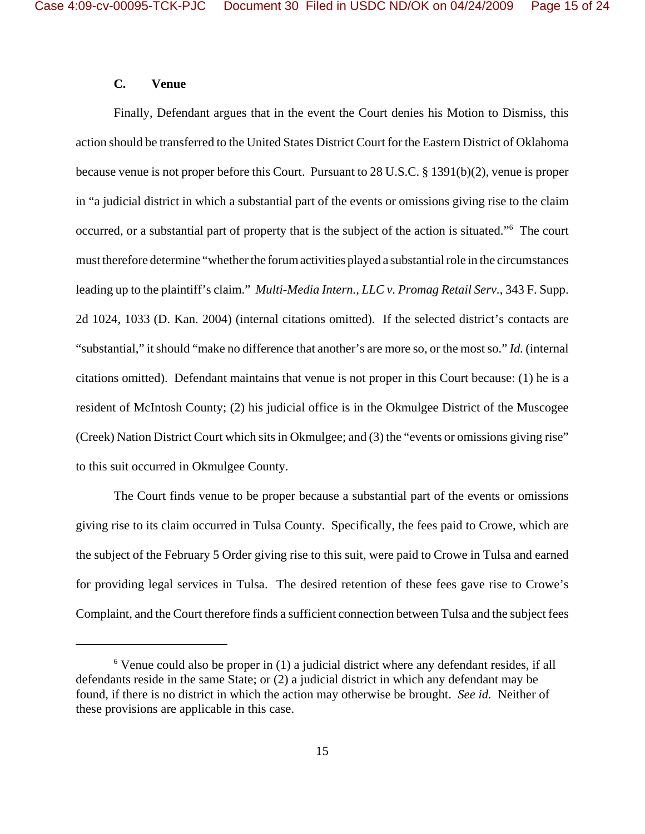## **C. Venue**

Finally, Defendant argues that in the event the Court denies his Motion to Dismiss, this action should be transferred to the United States District Court for the Eastern District of Oklahoma because venue is not proper before this Court. Pursuant to 28 U.S.C. § 1391(b)(2), venue is proper in "a judicial district in which a substantial part of the events or omissions giving rise to the claim occurred, or a substantial part of property that is the subject of the action is situated."<sup>6</sup> The court must therefore determine "whether the forum activities played a substantial role in the circumstances leading up to the plaintiff's claim." *Multi-Media Intern., LLC v. Promag Retail Serv.*, 343 F. Supp. 2d 1024, 1033 (D. Kan. 2004) (internal citations omitted). If the selected district's contacts are "substantial," it should "make no difference that another's are more so, or the most so." *Id.* (internal citations omitted). Defendant maintains that venue is not proper in this Court because: (1) he is a resident of McIntosh County; (2) his judicial office is in the Okmulgee District of the Muscogee (Creek) Nation District Court which sits in Okmulgee; and (3) the "events or omissions giving rise" to this suit occurred in Okmulgee County.

The Court finds venue to be proper because a substantial part of the events or omissions giving rise to its claim occurred in Tulsa County. Specifically, the fees paid to Crowe, which are the subject of the February 5 Order giving rise to this suit, were paid to Crowe in Tulsa and earned for providing legal services in Tulsa. The desired retention of these fees gave rise to Crowe's Complaint, and the Court therefore finds a sufficient connection between Tulsa and the subject fees

<sup>&</sup>lt;sup>6</sup> Venue could also be proper in (1) a judicial district where any defendant resides, if all defendants reside in the same State; or (2) a judicial district in which any defendant may be found, if there is no district in which the action may otherwise be brought. *See id.* Neither of these provisions are applicable in this case.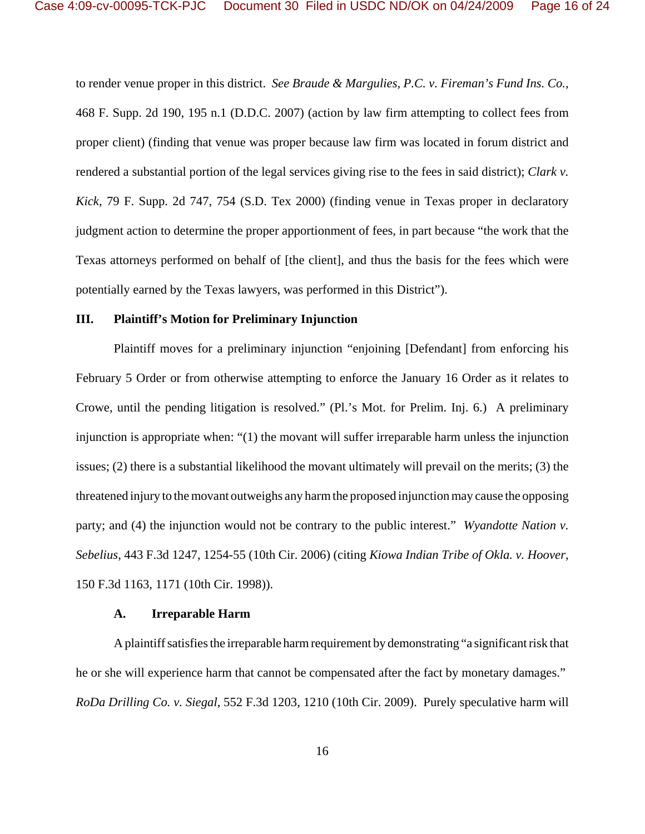to render venue proper in this district. *See Braude & Margulies, P.C. v. Fireman's Fund Ins. Co.*, 468 F. Supp. 2d 190, 195 n.1 (D.D.C. 2007) (action by law firm attempting to collect fees from proper client) (finding that venue was proper because law firm was located in forum district and rendered a substantial portion of the legal services giving rise to the fees in said district); *Clark v. Kick*, 79 F. Supp. 2d 747, 754 (S.D. Tex 2000) (finding venue in Texas proper in declaratory judgment action to determine the proper apportionment of fees, in part because "the work that the Texas attorneys performed on behalf of [the client], and thus the basis for the fees which were potentially earned by the Texas lawyers, was performed in this District").

## **III. Plaintiff's Motion for Preliminary Injunction**

Plaintiff moves for a preliminary injunction "enjoining [Defendant] from enforcing his February 5 Order or from otherwise attempting to enforce the January 16 Order as it relates to Crowe, until the pending litigation is resolved." (Pl.'s Mot. for Prelim. Inj. 6.) A preliminary injunction is appropriate when: "(1) the movant will suffer irreparable harm unless the injunction issues; (2) there is a substantial likelihood the movant ultimately will prevail on the merits; (3) the threatened injury to the movant outweighs any harm the proposed injunction may cause the opposing party; and (4) the injunction would not be contrary to the public interest." *Wyandotte Nation v. Sebelius*, 443 F.3d 1247, 1254-55 (10th Cir. 2006) (citing *Kiowa Indian Tribe of Okla. v. Hoover*, 150 F.3d 1163, 1171 (10th Cir. 1998)).

#### **A. Irreparable Harm**

A plaintiff satisfies the irreparable harm requirement by demonstrating "a significant risk that he or she will experience harm that cannot be compensated after the fact by monetary damages." *RoDa Drilling Co. v. Siegal*, 552 F.3d 1203, 1210 (10th Cir. 2009). Purely speculative harm will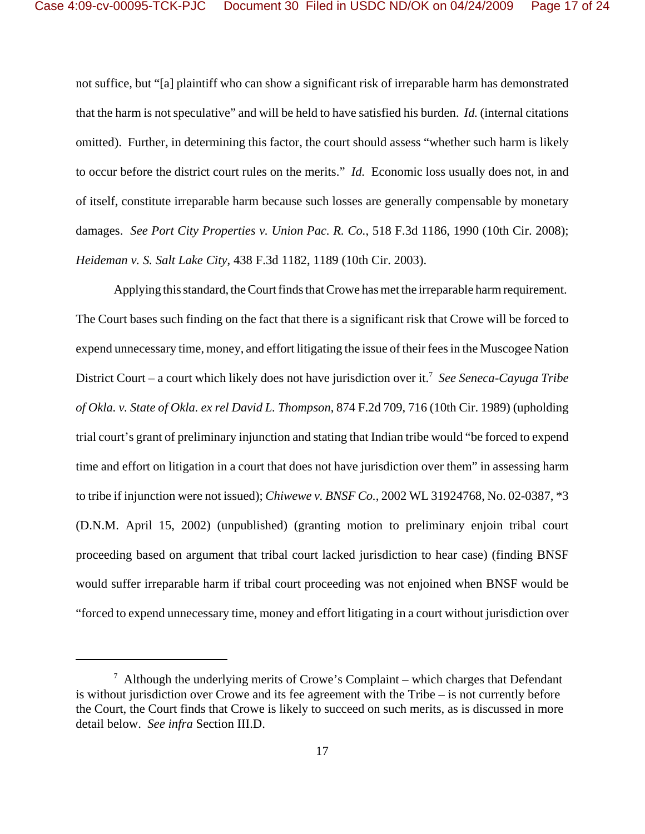not suffice, but "[a] plaintiff who can show a significant risk of irreparable harm has demonstrated that the harm is not speculative" and will be held to have satisfied his burden. *Id.* (internal citations omitted). Further, in determining this factor, the court should assess "whether such harm is likely to occur before the district court rules on the merits." *Id.* Economic loss usually does not, in and of itself, constitute irreparable harm because such losses are generally compensable by monetary damages. *See Port City Properties v. Union Pac. R. Co.*, 518 F.3d 1186, 1990 (10th Cir. 2008); *Heideman v. S. Salt Lake City*, 438 F.3d 1182, 1189 (10th Cir. 2003).

Applying this standard, the Court finds that Crowe has met the irreparable harm requirement. The Court bases such finding on the fact that there is a significant risk that Crowe will be forced to expend unnecessary time, money, and effort litigating the issue of their fees in the Muscogee Nation District Court – a court which likely does not have jurisdiction over it.<sup>7</sup> See Seneca-Cayuga Tribe *of Okla. v. State of Okla. ex rel David L. Thompson*, 874 F.2d 709, 716 (10th Cir. 1989) (upholding trial court's grant of preliminary injunction and stating that Indian tribe would "be forced to expend time and effort on litigation in a court that does not have jurisdiction over them" in assessing harm to tribe if injunction were not issued); *Chiwewe v. BNSF Co.*, 2002 WL 31924768, No. 02-0387, \*3 (D.N.M. April 15, 2002) (unpublished) (granting motion to preliminary enjoin tribal court proceeding based on argument that tribal court lacked jurisdiction to hear case) (finding BNSF would suffer irreparable harm if tribal court proceeding was not enjoined when BNSF would be "forced to expend unnecessary time, money and effort litigating in a court without jurisdiction over

 $7$  Although the underlying merits of Crowe's Complaint – which charges that Defendant is without jurisdiction over Crowe and its fee agreement with the Tribe – is not currently before the Court, the Court finds that Crowe is likely to succeed on such merits, as is discussed in more detail below. *See infra* Section III.D.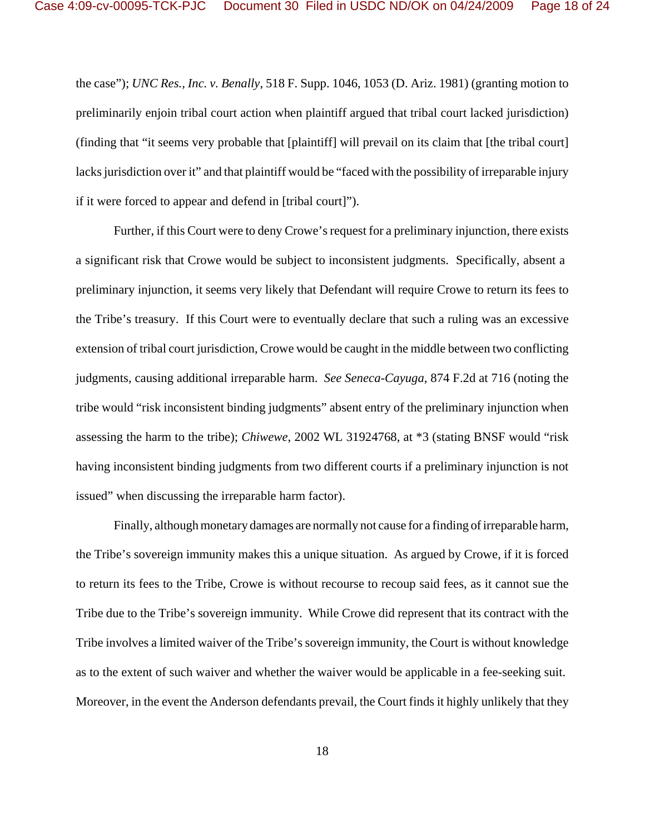the case"); *UNC Res., Inc. v. Benally*, 518 F. Supp. 1046, 1053 (D. Ariz. 1981) (granting motion to preliminarily enjoin tribal court action when plaintiff argued that tribal court lacked jurisdiction) (finding that "it seems very probable that [plaintiff] will prevail on its claim that [the tribal court] lacks jurisdiction over it" and that plaintiff would be "faced with the possibility of irreparable injury if it were forced to appear and defend in [tribal court]").

Further, if this Court were to deny Crowe's request for a preliminary injunction, there exists a significant risk that Crowe would be subject to inconsistent judgments. Specifically, absent a preliminary injunction, it seems very likely that Defendant will require Crowe to return its fees to the Tribe's treasury. If this Court were to eventually declare that such a ruling was an excessive extension of tribal court jurisdiction, Crowe would be caught in the middle between two conflicting judgments, causing additional irreparable harm. *See Seneca-Cayuga*, 874 F.2d at 716 (noting the tribe would "risk inconsistent binding judgments" absent entry of the preliminary injunction when assessing the harm to the tribe); *Chiwewe*, 2002 WL 31924768, at \*3 (stating BNSF would "risk having inconsistent binding judgments from two different courts if a preliminary injunction is not issued" when discussing the irreparable harm factor).

Finally, although monetary damages are normally not cause for a finding of irreparable harm, the Tribe's sovereign immunity makes this a unique situation. As argued by Crowe, if it is forced to return its fees to the Tribe, Crowe is without recourse to recoup said fees, as it cannot sue the Tribe due to the Tribe's sovereign immunity. While Crowe did represent that its contract with the Tribe involves a limited waiver of the Tribe's sovereign immunity, the Court is without knowledge as to the extent of such waiver and whether the waiver would be applicable in a fee-seeking suit. Moreover, in the event the Anderson defendants prevail, the Court finds it highly unlikely that they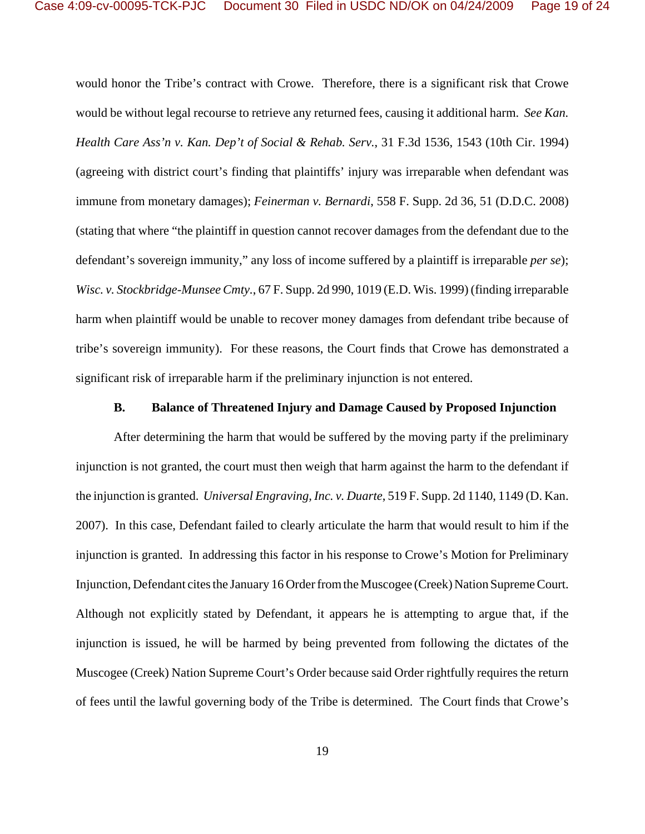would honor the Tribe's contract with Crowe. Therefore, there is a significant risk that Crowe would be without legal recourse to retrieve any returned fees, causing it additional harm. *See Kan. Health Care Ass'n v. Kan. Dep't of Social & Rehab. Serv.*, 31 F.3d 1536, 1543 (10th Cir. 1994) (agreeing with district court's finding that plaintiffs' injury was irreparable when defendant was immune from monetary damages); *Feinerman v. Bernardi*, 558 F. Supp. 2d 36, 51 (D.D.C. 2008) (stating that where "the plaintiff in question cannot recover damages from the defendant due to the defendant's sovereign immunity," any loss of income suffered by a plaintiff is irreparable *per se*); *Wisc. v. Stockbridge-Munsee Cmty.*, 67 F. Supp. 2d 990, 1019 (E.D. Wis. 1999) (finding irreparable harm when plaintiff would be unable to recover money damages from defendant tribe because of tribe's sovereign immunity). For these reasons, the Court finds that Crowe has demonstrated a significant risk of irreparable harm if the preliminary injunction is not entered.

## **B. Balance of Threatened Injury and Damage Caused by Proposed Injunction**

After determining the harm that would be suffered by the moving party if the preliminary injunction is not granted, the court must then weigh that harm against the harm to the defendant if the injunction is granted. *Universal Engraving, Inc. v. Duarte*, 519 F. Supp. 2d 1140, 1149 (D. Kan. 2007). In this case, Defendant failed to clearly articulate the harm that would result to him if the injunction is granted. In addressing this factor in his response to Crowe's Motion for Preliminary Injunction, Defendant cites the January 16 Order from the Muscogee (Creek) Nation Supreme Court. Although not explicitly stated by Defendant, it appears he is attempting to argue that, if the injunction is issued, he will be harmed by being prevented from following the dictates of the Muscogee (Creek) Nation Supreme Court's Order because said Order rightfully requires the return of fees until the lawful governing body of the Tribe is determined. The Court finds that Crowe's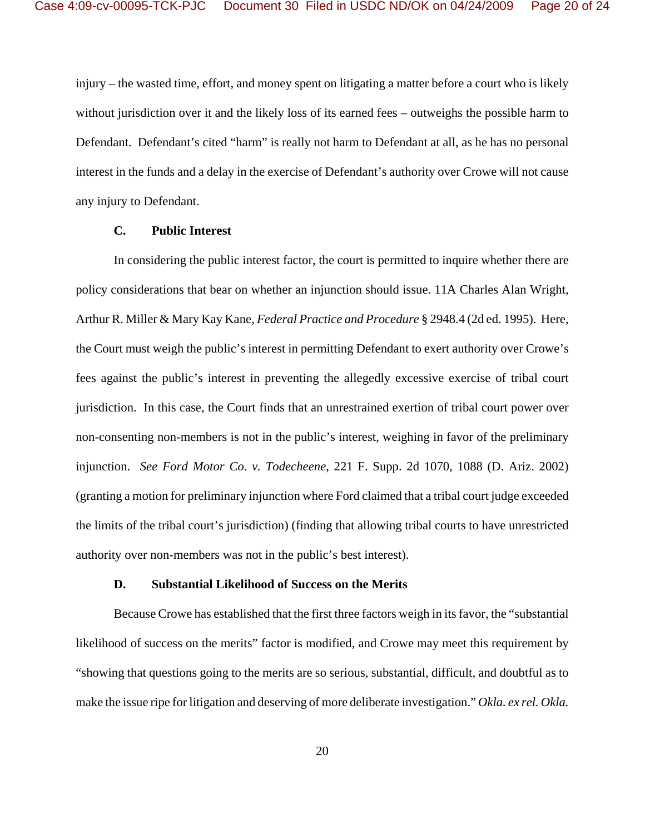injury – the wasted time, effort, and money spent on litigating a matter before a court who is likely without jurisdiction over it and the likely loss of its earned fees – outweighs the possible harm to Defendant. Defendant's cited "harm" is really not harm to Defendant at all, as he has no personal interest in the funds and a delay in the exercise of Defendant's authority over Crowe will not cause any injury to Defendant.

## **C. Public Interest**

In considering the public interest factor, the court is permitted to inquire whether there are policy considerations that bear on whether an injunction should issue. 11A Charles Alan Wright, Arthur R. Miller & Mary Kay Kane, *Federal Practice and Procedure* § 2948.4 (2d ed. 1995). Here, the Court must weigh the public's interest in permitting Defendant to exert authority over Crowe's fees against the public's interest in preventing the allegedly excessive exercise of tribal court jurisdiction. In this case, the Court finds that an unrestrained exertion of tribal court power over non-consenting non-members is not in the public's interest, weighing in favor of the preliminary injunction. *See Ford Motor Co. v. Todecheene*, 221 F. Supp. 2d 1070, 1088 (D. Ariz. 2002) (granting a motion for preliminary injunction where Ford claimed that a tribal court judge exceeded the limits of the tribal court's jurisdiction) (finding that allowing tribal courts to have unrestricted authority over non-members was not in the public's best interest).

#### **D. Substantial Likelihood of Success on the Merits**

Because Crowe has established that the first three factors weigh in its favor, the "substantial likelihood of success on the merits" factor is modified, and Crowe may meet this requirement by "showing that questions going to the merits are so serious, substantial, difficult, and doubtful as to make the issue ripe for litigation and deserving of more deliberate investigation." *Okla. ex rel. Okla.*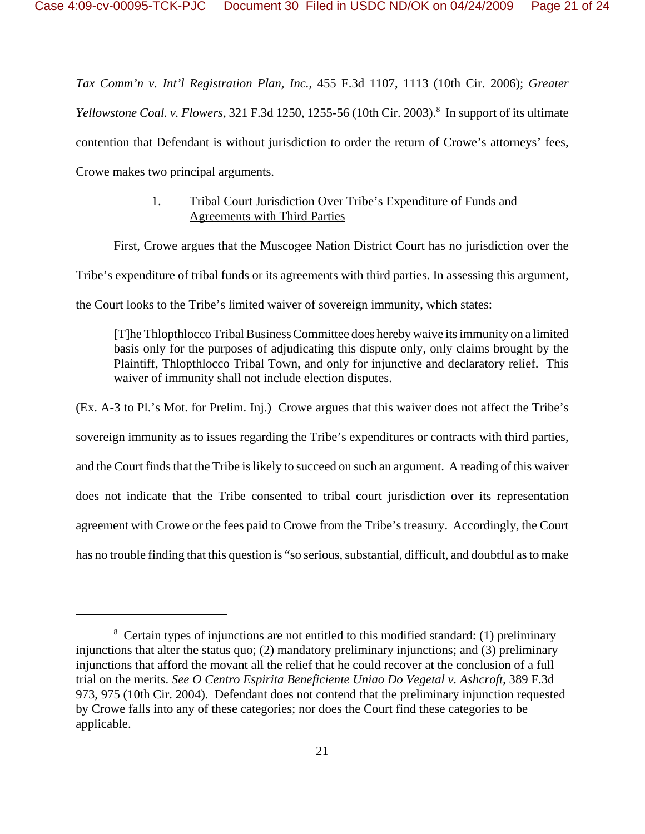*Tax Comm'n v. Int'l Registration Plan, Inc.*, 455 F.3d 1107, 1113 (10th Cir. 2006); *Greater* Yellowstone Coal. v. Flowers, 321 F.3d 1250, 1255-56 (10th Cir. 2003).<sup>8</sup> In support of its ultimate contention that Defendant is without jurisdiction to order the return of Crowe's attorneys' fees, Crowe makes two principal arguments.

# 1. Tribal Court Jurisdiction Over Tribe's Expenditure of Funds and Agreements with Third Parties

First, Crowe argues that the Muscogee Nation District Court has no jurisdiction over the Tribe's expenditure of tribal funds or its agreements with third parties. In assessing this argument, the Court looks to the Tribe's limited waiver of sovereign immunity, which states:

[T]he Thlopthlocco Tribal Business Committee does hereby waive its immunity on a limited basis only for the purposes of adjudicating this dispute only, only claims brought by the Plaintiff, Thlopthlocco Tribal Town, and only for injunctive and declaratory relief. This waiver of immunity shall not include election disputes.

(Ex. A-3 to Pl.'s Mot. for Prelim. Inj.) Crowe argues that this waiver does not affect the Tribe's sovereign immunity as to issues regarding the Tribe's expenditures or contracts with third parties, and the Court finds that the Tribe is likely to succeed on such an argument. A reading of this waiver does not indicate that the Tribe consented to tribal court jurisdiction over its representation agreement with Crowe or the fees paid to Crowe from the Tribe's treasury. Accordingly, the Court has no trouble finding that this question is "so serious, substantial, difficult, and doubtful as to make

<sup>&</sup>lt;sup>8</sup> Certain types of injunctions are not entitled to this modified standard: (1) preliminary injunctions that alter the status quo; (2) mandatory preliminary injunctions; and (3) preliminary injunctions that afford the movant all the relief that he could recover at the conclusion of a full trial on the merits. *See O Centro Espirita Beneficiente Uniao Do Vegetal v. Ashcroft*, 389 F.3d 973, 975 (10th Cir. 2004). Defendant does not contend that the preliminary injunction requested by Crowe falls into any of these categories; nor does the Court find these categories to be applicable.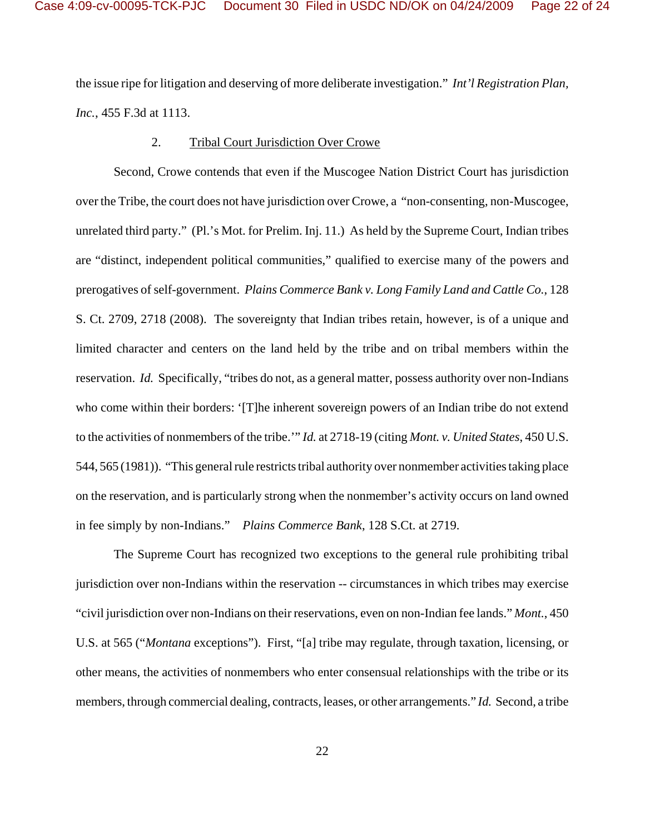the issue ripe for litigation and deserving of more deliberate investigation." *Int'l Registration Plan, Inc.*, 455 F.3d at 1113.

#### 2. Tribal Court Jurisdiction Over Crowe

Second, Crowe contends that even if the Muscogee Nation District Court has jurisdiction over the Tribe, the court does not have jurisdiction over Crowe, a "non-consenting, non-Muscogee, unrelated third party." (Pl.'s Mot. for Prelim. Inj. 11.) As held by the Supreme Court, Indian tribes are "distinct, independent political communities," qualified to exercise many of the powers and prerogatives of self-government. *Plains Commerce Bank v. Long Family Land and Cattle Co.*, 128 S. Ct. 2709, 2718 (2008).The sovereignty that Indian tribes retain, however, is of a unique and limited character and centers on the land held by the tribe and on tribal members within the reservation. *Id.* Specifically, "tribes do not, as a general matter, possess authority over non-Indians who come within their borders: '[T]he inherent sovereign powers of an Indian tribe do not extend to the activities of nonmembers of the tribe.'" *Id.* at 2718-19 (citing *Mont. v. United States*, 450 U.S. 544, 565 (1981)). "This general rule restricts tribal authority over nonmember activities taking place on the reservation, and is particularly strong when the nonmember's activity occurs on land owned in fee simply by non-Indians." *Plains Commerce Bank*, 128 S.Ct. at 2719.

The Supreme Court has recognized two exceptions to the general rule prohibiting tribal jurisdiction over non-Indians within the reservation -- circumstances in which tribes may exercise "civil jurisdiction over non-Indians on their reservations, even on non-Indian fee lands." *Mont.*, 450 U.S. at 565 ("*Montana* exceptions"). First, "[a] tribe may regulate, through taxation, licensing, or other means, the activities of nonmembers who enter consensual relationships with the tribe or its members, through commercial dealing, contracts, leases, or other arrangements." *Id.* Second, a tribe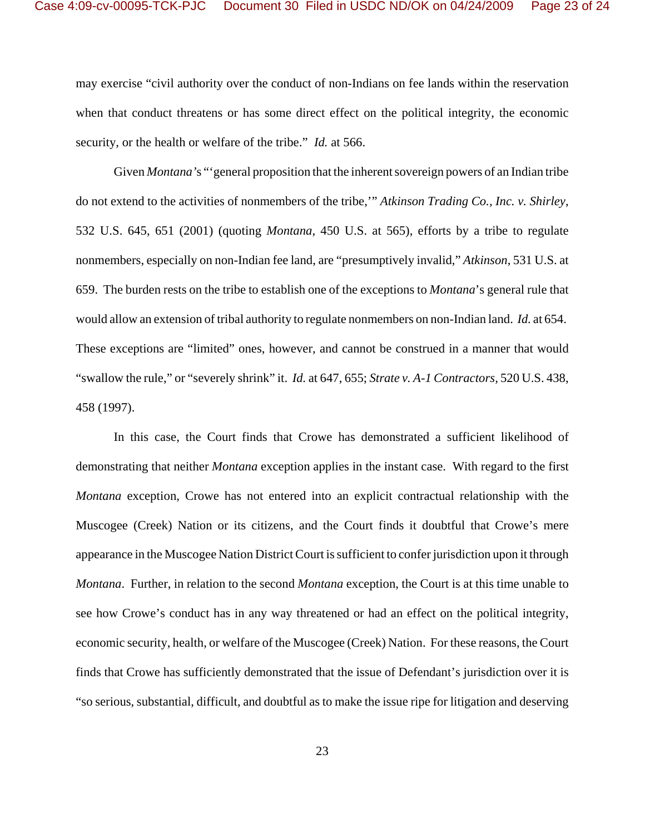may exercise "civil authority over the conduct of non-Indians on fee lands within the reservation when that conduct threatens or has some direct effect on the political integrity, the economic security, or the health or welfare of the tribe." *Id.* at 566.

Given *Montana'*s "'general proposition that the inherent sovereign powers of an Indian tribe do not extend to the activities of nonmembers of the tribe,'" *Atkinson Trading Co., Inc. v. Shirley*, 532 U.S. 645, 651 (2001) (quoting *Montana*, 450 U.S. at 565), efforts by a tribe to regulate nonmembers, especially on non-Indian fee land, are "presumptively invalid," *Atkinson*, 531 U.S. at 659. The burden rests on the tribe to establish one of the exceptions to *Montana*'s general rule that would allow an extension of tribal authority to regulate nonmembers on non-Indian land. *Id.* at 654. These exceptions are "limited" ones, however, and cannot be construed in a manner that would "swallow the rule," or "severely shrink" it. *Id.* at 647, 655; *Strate v. A-1 Contractors,* 520 U.S. 438, 458 (1997).

In this case, the Court finds that Crowe has demonstrated a sufficient likelihood of demonstrating that neither *Montana* exception applies in the instant case. With regard to the first *Montana* exception, Crowe has not entered into an explicit contractual relationship with the Muscogee (Creek) Nation or its citizens, and the Court finds it doubtful that Crowe's mere appearance in the Muscogee Nation District Court is sufficient to confer jurisdiction upon it through *Montana*. Further, in relation to the second *Montana* exception, the Court is at this time unable to see how Crowe's conduct has in any way threatened or had an effect on the political integrity, economic security, health, or welfare of the Muscogee (Creek) Nation. For these reasons, the Court finds that Crowe has sufficiently demonstrated that the issue of Defendant's jurisdiction over it is "so serious, substantial, difficult, and doubtful as to make the issue ripe for litigation and deserving